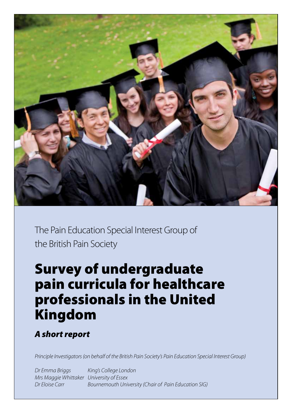

The Pain Education Special Interest Group of the British Pain Society

# Survey of undergraduate pain curricula for healthcare professionals in the United Kingdom

# *A short report*

*Principle Investigators (on behalf of the British Pain Society's Pain Education Special Interest Group)*

*Dr Emma Briggs King's College London Mrs Maggie Whittaker University of Essex Dr Eloise Carr Bournemouth University (Chair of Pain Education SIG)*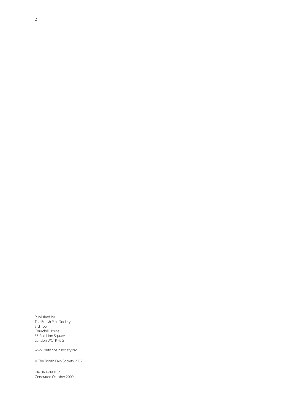Published by The British Pain Society 3rd floor Churchill House 35 Red Lion Square London WC1R 4SG

www.britishpainsociety.org

© The British Pain Society 2009

UK/UNA-09013h Generated October 2009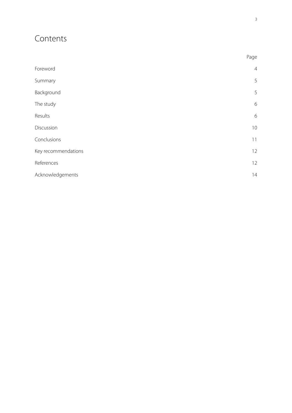# Contents

|                     | Page           |
|---------------------|----------------|
| Foreword            | $\overline{4}$ |
| Summary             | 5              |
| Background          | 5              |
| The study           | $\sqrt{6}$     |
| Results             | $\sqrt{6}$     |
| Discussion          | 10             |
| Conclusions         | 11             |
| Key recommendations | 12             |
| References          | 12             |
| Acknowledgements    | 14             |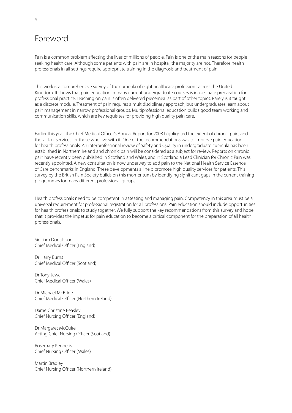# Foreword

Pain is a common problem affecting the lives of millions of people. Pain is one of the main reasons for people seeking health care. Although some patients with pain are in hospital, the majority are not. Therefore health professionals in all settings require appropriate training in the diagnosis and treatment of pain.

This work is a comprehensive survey of the curricula of eight healthcare professions across the United Kingdom. It shows that pain education in many current undergraduate courses is inadequate preparation for professional practice. Teaching on pain is often delivered piecemeal as part of other topics. Rarely is it taught as a discrete module. Treatment of pain requires a multidisciplinary approach, but undergraduates learn about pain management in narrow professional groups. Multiprofessional education builds good team working and communication skills, which are key requisites for providing high quality pain care.

Earlier this year, the Chief Medical Officer's Annual Report for 2008 highlighted the extent of chronic pain, and the lack of services for those who live with it. One of the recommendations was to improve pain education for health professionals. An interprofessional review of Safety and Quality in undergraduate curricula has been established in Northern Ireland and chronic pain will be considered as a subject for review. Reports on chronic pain have recently been published in Scotland and Wales, and in Scotland a Lead Clinician for Chronic Pain was recently appointed. A new consultation is now underway to add pain to the National Health Service Essence of Care benchmarks in England. These developments all help promote high quality services for patients. This survey by the British Pain Society builds on this momentum by identifying significant gaps in the current training programmes for many different professional groups.

Health professionals need to be competent in assessing and managing pain. Competency in this area must be a universal requirement for professional registration for all professions. Pain education should include opportunities for health professionals to study together. We fully support the key recommendations from this survey and hope that it provides the impetus for pain education to become a critical component for the preparation of all health professionals.

Sir Liam Donaldson Chief Medical Officer (England)

Dr Harry Burns Chief Medical Officer (Scotland)

Dr Tony Jewell Chief Medical Officer (Wales)

Dr Michael McBride Chief Medical Officer (Northern Ireland)

Dame Christine Beasley Chief Nursing Officer (England)

Dr Margaret McGuire Acting Chief Nursing Officer (Scotland)

Rosemary Kennedy Chief Nursing Officer (Wales)

Martin Bradley Chief Nursing Officer (Northern Ireland)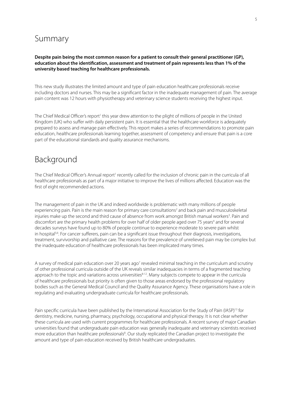# Summary

### **Despite pain being the most common reason for a patient to consult their general practitioner (GP), education about the identification, assessment and treatment of pain represents less than 1% of the university based teaching for healthcare professionals.**

This new study illustrates the limited amount and type of pain education healthcare professionals receive including doctors and nurses. This may be a significant factor in the inadequate management of pain. The average pain content was 12 hours with physiotherapy and veterinary science students receiving the highest input.

The Chief Medical Officer's report<sup>1</sup> this year drew attention to the plight of millions of people in the United Kingdom (UK) who suffer with daily persistent pain. It is essential that the healthcare workforce is adequately prepared to assess and manage pain effectively. This report makes a series of recommendations to promote pain education, healthcare professionals learning together, assessment of competency and ensure that pain is a core part of the educational standards and quality assurance mechanisms.

# Background

The Chief Medical Officer's Annual report<sup>1</sup> recently called for the inclusion of chronic pain in the curricula of all healthcare professionals as part of a major initiative to improve the lives of millions affected. Education was the first of eight recommended actions.

The management of pain in the UK and indeed worldwide is problematic with many millions of people experiencing pain. Pain is the main reason for primary care consultations<sup>2</sup> and back pain and musculoskeletal injuries make up the second and third cause of absence from work amongst British manual workers<sup>3</sup>. Pain and discomfort are the primary health problems for over half of older people aged over 75 years<sup>4</sup> and for several decades surveys have found up to 80% of people continue to experience moderate to severe pain whilst in hospital<sup>5,6</sup>. For cancer sufferers, pain can be a significant issue throughout their diagnosis, investigations, treatment, survivorship and palliative care. The reasons for the prevalence of unrelieved pain may be complex but the inadequate education of healthcare professionals has been implicated many times.

A survey of medical pain education over 20 years ago<sup>7</sup> revealed minimal teaching in the curriculum and scrutiny of other professional curricula outside of the UK reveals similar inadequacies in terms of a fragmented teaching approach to the topic and variations across universities<sup>8-12</sup>. Many subjects compete to appear in the curricula of healthcare professionals but priority is often given to those areas endorsed by the professional regulatory bodies such as the General Medical Council and the Quality Assurance Agency. These organisations have a role in regulating and evaluating undergraduate curricula for healthcare professionals.

Pain specific curricula have been published by the International Association for the Study of Pain (IASP)<sup>13</sup> for dentistry, medicine, nursing, pharmacy, psychology, occupational and physical therapy. It is not clear whether these curricula are used with current programmes for healthcare professionals. A recent survey of major Canadian universities found that undergraduate pain education was generally inadequate and veterinary scientists received more education than healthcare professionals<sup>8</sup>. Our study replicated the Canadian project to investigate the amount and type of pain education received by British healthcare undergraduates.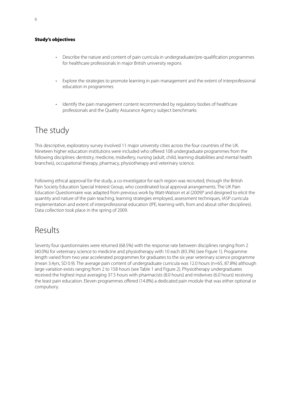### Study's objectives

- Describe the nature and content of pain curricula in undergraduate/pre-qualification programmes for healthcare professionals in major British university regions
- Explore the strategies to promote learning in pain management and the extent of interprofessional education in programmes
- Identify the pain management content recommended by regulatory bodies of healthcare professionals and the Quality Assurance Agency subject benchmarks

# The study

This descriptive, exploratory survey involved 11 major university cities across the four countries of the UK. Nineteen higher education institutions were included who offered 108 undergraduate programmes from the following disciplines: dentistry, medicine, midwifery, nursing (adult, child, learning disabilities and mental health branches), occupational therapy, pharmacy, physiotherapy and veterinary science.

Following ethical approval for the study, a co-investigator for each region was recruited, through the British Pain Society Education Special Interest Group, who coordinated local approval arrangements. The UK Pain Education Questionnaire was adapted from previous work by Watt-Watson et al (2009)8 and designed to elicit the quantity and nature of the pain teaching, learning strategies employed, assessment techniques, IASP curricula implementation and extent of interprofessional education (IPE; learning with, from and about other disciplines). Data collection took place in the spring of 2009.

# Results

Seventy four questionnaires were returned (68.5%) with the response rate between disciplines ranging from 2 (40.0%) for veterinary science to medicine and physiotherapy with 10 each (83.3%) (see Figure 1). Programme length varied from two year accelerated programmes for graduates to the six year veterinary science programme (mean 3.4yrs, SD 0.9). The average pain content of undergraduate curricula was 12.0 hours (n=65, 87.8%) although large variation exists ranging from 2 to 158 hours (see Table 1 and Figure 2). Physiotherapy undergraduates received the highest input averaging 37.5 hours with pharmacists (8.0 hours) and midwives (6.0 hours) receiving the least pain education. Eleven programmes offered (14.8%) a dedicated pain module that was either optional or compulsory.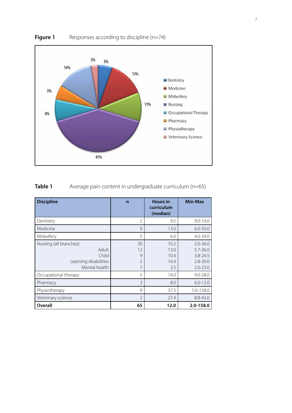

**Figure 1** Responses according to discipline (n=74)

### **Table 1** Average pain content in undergraduate curriculum (n=65)

| <b>Discipline</b>                                                                  | $\mathsf{n}$                         | <b>Hours in</b><br>curriculum<br>(median) | <b>Min-Max</b>                                                               |
|------------------------------------------------------------------------------------|--------------------------------------|-------------------------------------------|------------------------------------------------------------------------------|
| Dentistry                                                                          | $\overline{2}$                       | 9.5                                       | $9.0 - 10.0$                                                                 |
| Medicine                                                                           | 9                                    | 13.0                                      | $6.0 - 50.0$                                                                 |
| Midwifery                                                                          | 5                                    | 6.0                                       | $4.0 - 39.0$                                                                 |
| Nursing (all branches)<br>Adult<br>Child<br>Learning disabilities<br>Mental health | 30<br>12<br>9<br>$\overline{2}$<br>7 | 10.2<br>13.0<br>10.4<br>16.4<br>3.5       | $2.0 - 36.0$<br>$5.7 - 36.0$<br>$3.8 - 24.5$<br>$2.8 - 30.0$<br>$2.0 - 23.0$ |
| Occupational therapy                                                               | 5                                    | 14.0                                      | $9.0 - 28.0$                                                                 |
| Pharmacy                                                                           | 3                                    | 8.0                                       | $6.0 - 12.0$                                                                 |
| Physiotherapy                                                                      | 9                                    | 37.5                                      | 5.0-158.0                                                                    |
| Veterinary science                                                                 | $\overline{2}$                       | 27.4                                      | $8.8 - 43.0$                                                                 |
| Overall                                                                            | 65                                   | 12.0                                      | 2.0-158.0                                                                    |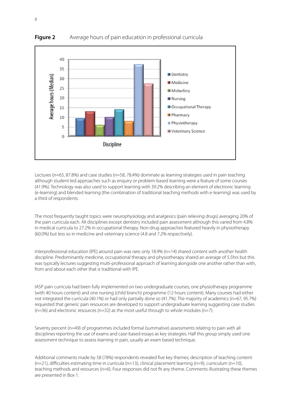

**Figure 2** Average hours of pain education in professional curricula

Lectures (n=65, 87.8%) and case studies (n=58, 78.4%) dominate as learning strategies used in pain teaching although student-led approaches such as enquiry or problem-based learning were a feature of some courses (41.9%). Technology was also used to support learning with 39.2% describing an element of electronic learning (e-learning) and blended learning (the combination of traditional teaching methods with e-learning) was used by a third of respondents.

The most frequently taught topics were neurophysiology and analgesics (pain relieving drugs) averaging 20% of the pain curricula each. All disciplines except dentistry included pain assessment although this varied from 4.8% in medical curricula to 27.2% in occupational therapy. Non-drug approaches featured heavily in physiotherapy (60.0%) but less so in medicine and veterinary science (4.8 and 7.2% respectively).

Interprofessional education (IPE) around pain was rare; only 18.9% (n=14) shared content with another health discipline. Predominantly medicine, occupational therapy and physiotherapy shared an average of 5.5hrs but this was typically lectures suggesting multi-professional approach of learning alongside one another rather than with, from and about each other that is traditional with IPE.

IASP pain curricula had been fully implemented on two undergraduate courses; one physiotherapy programme (with 40 hours content) and one nursing (child branch) programme (12 hours content). Many courses had either not integrated the curricula (40.1%) or had only partially done so (41.7%). The majority of academics (n=67, 95.7%) requested that generic pain resources are developed to support undergraduate learning suggesting case studies  $(n=36)$  and electronic resources ( $n=32$ ) as the most useful through to whole modules ( $n=7$ ).

Seventy percent (n=49) of programmes included formal (summative) assessments relating to pain with all disciplines reporting the use of exams and case-based essays as key strategies. Half this group simply used one assessment technique to assess learning in pain, usually an exam based technique.

Additional comments made by 58 (78%) respondents revealed five key themes; description of teaching content  $(n=21)$ , difficulties estimating time in curricula  $(n=13)$ , clinical placement learning  $(n=9)$ , curriculum  $(n=10)$ , teaching methods and resources (n=6). Four responses did not fit any theme. Comments illustrating these themes are presented in Box 1.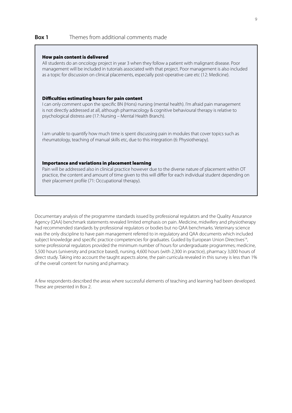### **Box 1** Themes from additional comments made

#### How pain content is delivered

All students do an oncology project in year 3 when they follow a patient with malignant disease. Poor management will be included in tutorials associated with that project. Poor management is also included as a topic for discussion on clinical placements, especially post-operative care etc (12: Medicine).

#### Difficulties estimating hours for pain content

I can only comment upon the specific BN (Hons) nursing (mental health). I'm afraid pain management is not directly addressed at all, although pharmacology & cognitive behavioural therapy is relative to psychological distress are (17: Nursing – Mental Health Branch).

I am unable to quantify how much time is spent discussing pain in modules that cover topics such as rheumatology, teaching of manual skills etc, due to this integration (6: Physiotherapy).

### Importance and variations in placement learning

Pain will be addressed also in clinical practice however due to the diverse nature of placement within OT practice, the content and amount of time given to this will differ for each individual student depending on their placement profile (71: Occupational therapy).

Documentary analysis of the programme standards issued by professional regulators and the Quality Assurance Agency (QAA) benchmark statements revealed limited emphasis on pain. Medicine, midwifery and physiotherapy had recommended standards by professional regulators or bodies but no QAA benchmarks. Veterinary science was the only discipline to have pain management referred to in regulatory and QAA documents which included subject knowledge and specific practice competencies for graduates. Guided by European Union Directives<sup>14</sup>, some professional regulators provided the minimum number of hours for undergraduate programmes; medicine, 5,500 hours (university and practice based), nursing, 4,600 hours (with 2,300 in practice), pharmacy 3,000 hours of direct study. Taking into account the taught aspects alone, the pain curricula revealed in this survey is less than 1% of the overall content for nursing and pharmacy.

A few respondents described the areas where successful elements of teaching and learning had been developed. These are presented in Box 2.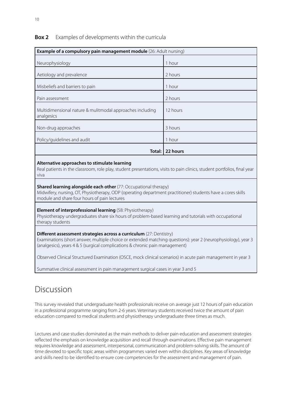### **Box 2** Examples of developments within the curricula

| <b>Example of a compulsory pain management module</b> (26: Adult nursing) |          |  |
|---------------------------------------------------------------------------|----------|--|
| Neurophysiology                                                           | 1 hour   |  |
| Aetiology and prevalence                                                  | 2 hours  |  |
| Misbeliefs and barriers to pain                                           | 1 hour   |  |
| Pain assessment                                                           | 2 hours  |  |
| Multidimensional nature & mulitmodal approaches including<br>analgesics   | 12 hours |  |
| Non-drug approaches                                                       | 3 hours  |  |
| Policy/guidelines and audit                                               | 1 hour   |  |
| Total:                                                                    | 22 hours |  |
| Altovnativo annuasches te stimulate leavning                              |          |  |

### **Alternative approaches to stimulate learning**

Real patients in the classroom, role play, student presentations, visits to pain clinics, student portfolios, final year viva

### **Shared learning alongside each other** (77: Occupational therapy)

Midwifery, nursing, OT, Physiotherapy, ODP (operating department practitioner) students have a cores skills module and share four hours of pain lectures

#### **Element of interprofessional learning** (58: Physiotherapy)

Physiotherapy undergraduates share six hours of problem-based learning and tutorials with occupational therapy students

### **Different assessment strategies across a curriculum** (27: Dentistry)

Examinations (short answer, multiple choice or extended matching questions): year 2 (neurophysiology), year 3 (analgesics), years 4 & 5 (surgical complications & chronic pain management)

Observed Clinical Structured Examination (OSCE, mock clinical scenarios) in acute pain management in year 3

Summative clinical assessment in pain management surgical cases in year 3 and 5

## Discussion

This survey revealed that undergraduate health professionals receive on average just 12 hours of pain education in a professional programme ranging from 2-6 years. Veterinary students received twice the amount of pain education compared to medical students and physiotherapy undergraduate three times as much.

Lectures and case studies dominated as the main methods to deliver pain education and assessment strategies reflected the emphasis on knowledge acquisition and recall through examinations. Effective pain management requires knowledge and assessment, interpersonal, communication and problem-solving skills. The amount of time devoted to specific topic areas within programmes varied even within disciplines. Key areas of knowledge and skills need to be identified to ensure core competencies for the assessment and management of pain.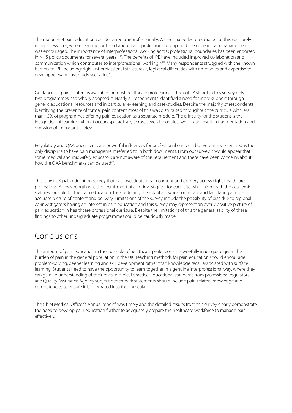The majority of pain education was delivered uni-professionally. Where shared lectures did occur this was rarely interprofessional; where learning with and about each professional group, and their role in pain management, was encouraged. The importance of interprofessional working across professional boundaries has been endorsed in NHS policy documents for several years<sup>15,16</sup>. The benefits of IPE have included improved collaboration and communication which contributes to interprofessional working<sup>17,18</sup>. Many respondents struggled with the known barriers to IPE including; rigid uni-professional structures<sup>19</sup>, logistical difficulties with timetables and expertise to develop relevant case study scenarios<sup>20</sup>.

Guidance for pain content is available for most healthcare professionals through IASP but in this survey only two programmes had wholly adopted it. Nearly all respondents identified a need for more support through generic educational resources and in particular e-learning and case-studies. Despite the majority of respondents identifying the presence of formal pain content most of this was distributed throughout the curricula with less than 15% of programmes offering pain education as a separate module. The difficulty for the student is the integration of learning when it occurs sporadically across several modules, which can result in fragmentation and omission of important topics<sup>21</sup>.

Regulatory and QAA documents are powerful influences for professional curricula but veterinary science was the only discipline to have pain management referred to in both documents. From our survey it would appear that some medical and midwifery educators are not aware of this requirement and there have been concerns about how the OAA benchmarks can be used<sup>22</sup>.

This is first UK pain education survey that has investigated pain content and delivery across eight healthcare professions. A key strength was the recruitment of a co-investigator for each site who liaised with the academic staff responsible for the pain education; thus reducing the risk of a low response rate and facilitating a more accurate picture of content and delivery. Limitations of the survey include the possibility of bias due to regional co-investigators having an interest in pain education and this survey may represent an overly positive picture of pain education in healthcare professional curricula. Despite the limitations of this the generalisability of these findings to other undergraduate programmes could be cautiously made.

# Conclusions

The amount of pain education in the curricula of healthcare professionals is woefully inadequate given the burden of pain in the general population in the UK. Teaching methods for pain education should encourage problem-solving, deeper learning and skill development rather than knowledge recall associated with surface learning. Students need to have the opportunity to learn together in a genuine interprofessional way, where they can gain an understanding of their roles in clinical practice. Educational standards from professional regulators and Quality Assurance Agency subject benchmark statements should include pain-related knowledge and competencies to ensure it is integrated into the curricula.

The Chief Medical Officer's Annual report<sup>1</sup> was timely and the detailed results from this survey clearly demonstrate the need to develop pain education further to adequately prepare the healthcare workforce to manage pain effectively.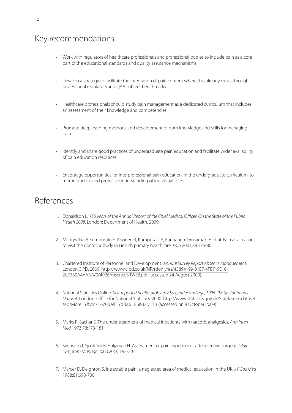# Key recommendations

- Work with regulators of healthcare professionals and professional bodies to include pain as a core part of the educational standards and quality assurance mechanisms.
- Develop a strategy to facilitate the integration of pain content where this already exists through professional regulators and QAA subject benchmarks.
- Healthcare professionals should study pain management as a dedicated curriculum that includes an assessment of their knowledge and competencies.
- Promote deep learning methods and development of both knowledge and skills for managing pain.
- Identify and share good practices of undergraduate pain education and facilitate wider availability of pain education resources.
- Encourage opportunities for interprofessional pain education, in the undergraduate curriculum, to mirror practice and promote understanding of individual roles.

# References

- 1. Donaldson L. *150 years of the Annual Report of the Chief Medical Officer: On the State of the Public Health 2008*. London: Department of Health, 2009.
- 2. Mäntyselkä P, Kumpusalo E, Ahonen R, Kumpusals A, Kauhanen J Viinamaki H et al. Pain as a reason to visit the doctor: a study in Finnish primary healthcare. *Pain* 2001;89:175-80.
- 3. Chartered Institute of Personnel and Development. *Annual Survey Report Absence Management*. London:CIPD. 2009. http://www.cipd.co.uk/NR/rdonlyres/45894199-81E7-4FDF-9E16- 2C7339A4AAAA/0/4926AbsenceSRWEB.pdf. (accessed 24 August 2009).
- 4. National Statistics Online. *Self-reported health problems: by gender and age, 1996–97: Social Trends Dataset*. London: Office for National Statistics. 2000. http://www.statistics.gov.uk/StatBase/xsdataset. asp?More=Y&vlnk=670&All=Y&B2.x=86&B2.y=13 (accessed on 8 October 2009).
- 5. Marks R, Sachar E. The under treatment of medical inpatients with narcotic analgesics. *Ann Intern Med* 1973;78:173-181.
- 6. Svensson I, Sjöström B, Haljamäe H. Assessment of pain experiences after elective surgery. *J Pain Symptom Manage* 2000:20(3):193-201.
- 7. Marcer D, Deighton S. Intractable pain: a neglected area of medical education in the UK. *J R Soc Med* 1988;81:698-700.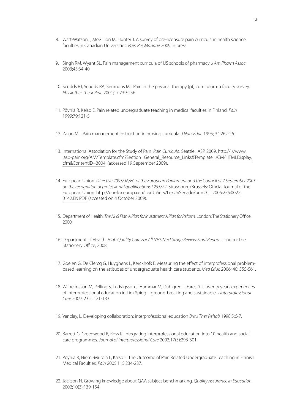- 8. Watt-Watson J, McGillion M, Hunter J. A survey of pre-licensure pain curricula in health science faculties in Canadian Universities. *Pain Res Manage* 2009 in press.
- 9. Singh RM, Wyant SL. Pain management curricula of US schools of pharmacy. *J Am Pharm Assoc* 2003;43:34-40.
- 10. Scudds RJ, Scudds RA, Simmons MJ. Pain in the physical therapy (pt) curriculum: a faculty survey. *Physiother Theor Prac* 2001;17:239-256.
- 11. Pöyhiä R, Kelso E. Pain related undergraduate teaching in medical faculties in Finland. *Pain* 1999;79:121-5.
- 12. Zalon ML. Pain management instruction in nursing curricula. *J Nurs Educ* 1995; 34:262-26.
- 13. International Association for the Study of Pain. *Pain Curricula*. Seattle: IASP. 2009. http:// //www. iasp-pain.org/AM/Template.cfm?Section=General\_Resource\_Links&Template=/CM/HTMLDisplay. cfm&ContentID=3004. (accessed 19 September 2009).
- 14. European Union. *Directive 2005/36/EC of the European Parliament and the Council of 7 September 2005 on the recognition of professional qualifications L255/22*. Strasbourg/Brussels: Official Journal of the European Union. http://eur-lex.europa.eu/LexUriServ/LexUriServ.do?uri=OJ:L:2005:255:0022: 0142:EN:PDF (accessed on 4 October 2009).
- 15. Department of Health. *The NHS Plan A Plan for Investment A Plan for Reform.* London: The StationeryOffice, 2000.
- 16. Department of Health. *High Quality Care For All NHS Next Stage Review Final Report*. London: The Stationery Office, 2008.
- 17. Goelen G, De Clercq G, Huyghens L, Kerckhofs E. Measuring the effect of interprofessional problembased learning on the attitudes of undergraduate health care students. *Med Educ* 2006; 40: 555-561.
- 18. Wilhelmsson M, Pelling S, Ludvigsson J, Hammar M, Dahlgren L, Faresjö T. Twenty years experiences of interprofessional education in Linköping – ground-breaking and sustainable. *J Interprofessional Care* 2009; 23:2, 121-133.
- 19. Vanclay, L. Developing collaboration: interprofessional education *Brit J Ther Rehab* 1998;5:6-7.
- 20. Barrett G, Greenwood R, Ross K. Integrating interprofessional education into 10 health and social care programmes. *Journal of Interprofessional Care* 2003;17(3):293-301.
- 21. Pöyhiä R, Niemi-Murola L, Kalso E. The Outcome of Pain Related Undergraduate Teaching in Finnish Medical Faculties. *Pain* 2005;115:234-237.
- 22. Jackson N. Growing knowledge about QAA subject benchmarking, *Quality Assurance in Education*. 2002;10(3):139-154.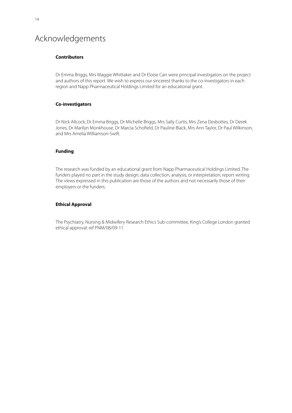# Acknowledgements

### **Contributors**

Dr Emma Briggs, Mrs Maggie Whittaker and Dr Eloise Carr were principal investigators on the project and authors of this report. We wish to express our sincerest thanks to the co-investigators in each region and Napp Pharmaceutical Holdings Limited for an educational grant.

### **Co-investigators**

Dr Nick Allcock, Dr Emma Briggs, Dr Michelle Briggs, Mrs Sally Curtis, Mrs Zena Desbottes, Dr Derek Jones, Dr Marilyn Monkhouse, Dr Marcia Schofield, Dr Pauline Black, Mrs Ann Taylor, Dr Paul Wilkinson, and Mrs Amelia Williamson-Swift.

### **Funding**

The research was funded by an educational grant from Napp Pharmaceutical Holdings Limited. The funders played no part in the study design; data collection, analysis, or interpretation; report writing. The views expressed in this publication are those of the authors and not necessarily those of their employers or the funders.

### **Ethical Approval**

The Psychiatry, Nursing & Midwifery Research Ethics Sub-committee, King's College London granted ethical approval: ref PNM/08/09-11